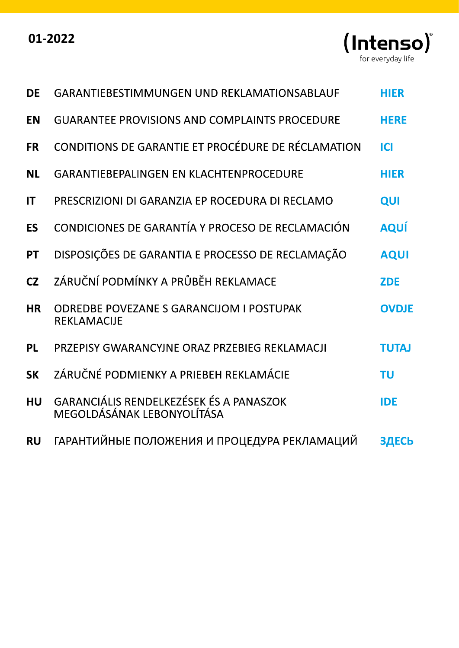| 01-2022 |  |
|---------|--|
|---------|--|



| <b>DE</b> | GARANTIEBESTIMMUNGEN UND REKLAMATIONSABLAUF                                  | <b>HIER</b>  |
|-----------|------------------------------------------------------------------------------|--------------|
| <b>EN</b> | <b>GUARANTEE PROVISIONS AND COMPLAINTS PROCEDURE</b>                         | <b>HERE</b>  |
| <b>FR</b> | CONDITIONS DE GARANTIE ET PROCÉDURE DE RÉCLAMATION                           | <b>ICI</b>   |
| <b>NL</b> | <b>GARANTIEBEPALINGEN EN KLACHTENPROCEDURE</b>                               | <b>HIER</b>  |
| IT        | PRESCRIZIONI DI GARANZIA EP ROCEDURA DI RECLAMO                              | QUI          |
| <b>ES</b> | CONDICIONES DE GARANTÍA Y PROCESO DE RECLAMACIÓN                             | <b>AQUÍ</b>  |
| <b>PT</b> | DISPOSIÇÕES DE GARANTIA E PROCESSO DE RECLAMAÇÃO                             | <b>AQUI</b>  |
| CZ        | ZÁRUČNÍ PODMÍNKY A PRŮBĚH REKLAMACE                                          | <b>ZDE</b>   |
| <b>HR</b> | <b>ODREDBE POVEZANE S GARANCIJOM I POSTUPAK</b><br><b>REKLAMACIJE</b>        | <b>OVDJE</b> |
| <b>PL</b> | PRZEPISY GWARANCYJNE ORAZ PRZEBIEG REKLAMACJI                                | <b>TUTAJ</b> |
| <b>SK</b> | ZÁRUČNÉ PODMIENKY A PRIEBEH REKLAMÁCIE                                       | <b>TU</b>    |
| <b>HU</b> | <b>GARANCIÁLIS RENDELKEZÉSEK ÉS A PANASZOK</b><br>MEGOLDÁSÁNAK LEBONYOLÍTÁSA | <b>IDE</b>   |
| <b>RU</b> | ГАРАНТИЙНЫЕ ПОЛОЖЕНИЯ И ПРОЦЕДУРА РЕКЛАМАЦИЙ                                 | ЗДЕСЬ        |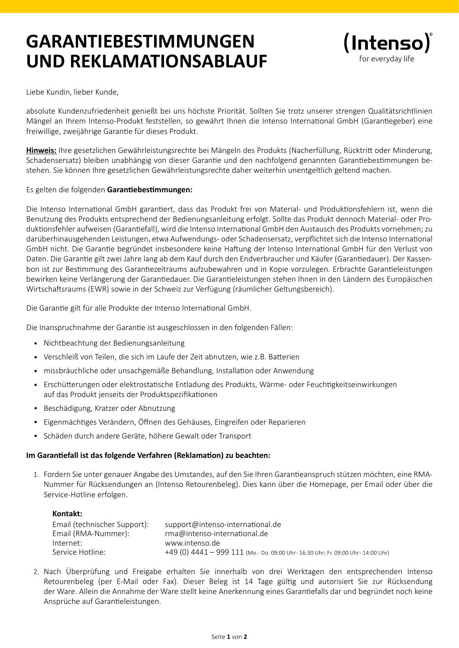## **GARANTIEBESTIMMUNGEN UND REKLAMATIONSABLAUF**



Liebe Kundin, lieber Kunde,

absolute Kundenzufriedenheit genießt bei uns höchste Priorität. Sollten Sie trotz unserer strengen Qualitätsrichtlinien Mängel an Ihrem Intenso-Produkt feststellen, so gewährt Ihnen die Intenso International GmbH (Garantiegeber) eine freiwillige, zweijährige Garantie für dieses Produkt.

**Hinweis:** Ihre gesetzlichen Gewährleistungsrechte bei Mängeln des Produkts (Nacherfüllung, Rücktritt oder Minderung, Schadensersatz) bleiben unabhängig von dieser Garantie und den nachfolgend genannten Garantiebestimmungen bestehen. Sie können Ihre gesetzlichen Gewährleistungsrechte daher weiterhin unentgeltlich geltend machen.

#### Es gelten die folgenden **Garantiebestimmungen:**

Die Intenso International GmbH garantiert, dass das Produkt frei von Material- und Produktionsfehlern ist, wenn die Benutzung des Produkts entsprechend der Bedienungsanleitung erfolgt. Sollte das Produkt dennoch Material- oder Produktionsfehler aufweisen (Garantiefall), wird die Intenso International GmbH den Austausch des Produkts vornehmen; zu darüberhinausgehenden Leistungen, etwa Aufwendungs- oder Schadensersatz, verpflichtet sich die Intenso International GmbH nicht. Die Garantie begründet insbesondere keine Haftung der Intenso International GmbH für den Verlust von Daten. Die Garantie gilt zwei Jahre lang ab dem Kauf durch den Endverbraucher und Käufer (Garantiedauer). Der Kassenbon ist zur Bestimmung des Garantiezeitraums aufzubewahren und in Kopie vorzulegen. Erbrachte Garantieleistungen bewirken keine Verlängerung der Garantiedauer. Die Garantieleistungen stehen Ihnen in den Ländern des Europäischen Wirtschaftsraums (EWR) sowie in der Schweiz zur Verfügung (räumlicher Geltungsbereich).

Die Garantie gilt für alle Produkte der Intenso International GmbH.

Die Inanspruchnahme der Garantie ist ausgeschlossen in den folgenden Fällen:

- Nichtbeachtung der Bedienungsanleitung •
- Verschleiß von Teilen, die sich im Laufe der Zeit abnutzen, wie z.B. Batterien •
- missbräuchliche oder unsachgemäße Behandlung, Installation oder Anwendung •
- Erschütterungen oder elektrostatische Entladung des Produkts, Wärme- oder Feuchtigkeitseinwirkungen auf das Produkt jenseits der Produktspezifikationen
- Beschädigung, Kratzer oder Abnutzung
- Eigenmächtiges Verändern, Öffnen des Gehäuses, Eingreifen oder Reparieren
- Schäden durch andere Geräte, höhere Gewalt oder Transport

#### **Im Garantiefall ist das folgende Verfahren (Reklamation) zu beachten:**

1. Fordern Sie unter genauer Angabe des Umstandes, auf den Sie Ihren Garantieanspruch stützen möchten, eine RMA-Nummer für Rücksendungen an (Intenso Retourenbeleg). Dies kann über die Homepage, per Email oder über die Service-Hotline erfolgen.

| Kontakt:                     |                                                                                  |
|------------------------------|----------------------------------------------------------------------------------|
| Email (technischer Support): | support@intenso-international.de                                                 |
| Email (RMA-Nummer):          | rma@intenso-international.de                                                     |
| Internet:                    | www.intenso.de                                                                   |
| Service Hotline:             | +49 (0) 4441 - 999 111 (Mo.- Do. 09:00 Uhr- 16:30 Uhr; Fr. 09:00 Uhr- 14:00 Uhr) |

2. Nach Überprüfung und Freigabe erhalten Sie innerhalb von drei Werktagen den entsprechenden Intenso Retourenbeleg (per E-Mail oder Fax). Dieser Beleg ist 14 Tage gültig und autorisiert Sie zur Rücksendung der Ware. Allein die Annahme der Ware stellt keine Anerkennung eines Garantiefalls dar und begründet noch keine Ansprüche auf Garantieleistungen.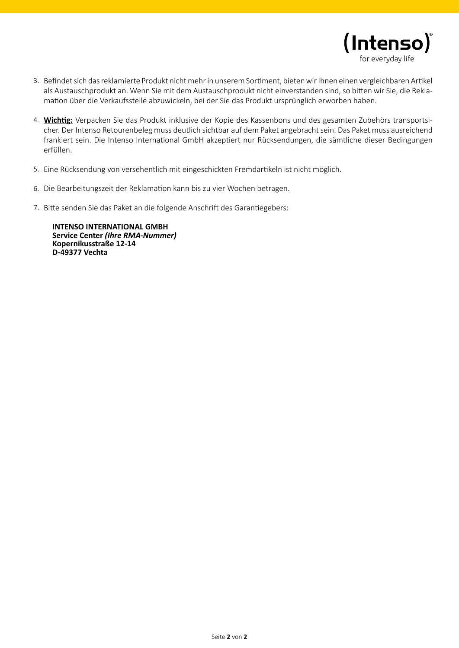

- 3. Befindet sich das reklamierte Produkt nicht mehr in unserem Sortiment, bieten wir Ihnen einen vergleichbaren Artikel als Austauschprodukt an. Wenn Sie mit dem Austauschprodukt nicht einverstanden sind, so bitten wir Sie, die Reklamation über die Verkaufsstelle abzuwickeln, bei der Sie das Produkt ursprünglich erworben haben.
- **Wichtig:** Verpacken Sie das Produkt inklusive der Kopie des Kassenbons und des gesamten Zubehörs transportsi-4. cher. Der Intenso Retourenbeleg muss deutlich sichtbar auf dem Paket angebracht sein. Das Paket muss ausreichend frankiert sein. Die Intenso International GmbH akzeptiert nur Rücksendungen, die sämtliche dieser Bedingungen erfüllen.
- Eine Rücksendung von versehentlich mit eingeschickten Fremdartikeln ist nicht möglich. 5.
- 6. Die Bearbeitungszeit der Reklamation kann bis zu vier Wochen betragen.
- 7. Bitte senden Sie das Paket an die folgende Anschrift des Garantiegebers:

**INTENSO INTERNATIONAL GMBH Service Center** *(Ihre RMA-Nummer)* **Kopernikusstraße 12-14 D-49377 Vechta**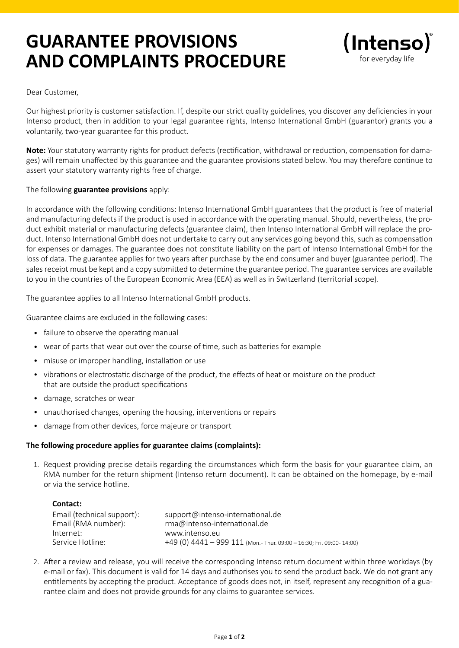## **GUARANTEE PROVISIONS AND COMPLAINTS PROCEDURE**



Dear Customer,

Our highest priority is customer satisfaction. If, despite our strict quality guidelines, you discover any deficiencies in your Intenso product, then in addition to your legal guarantee rights, Intenso International GmbH (guarantor) grants you a voluntarily, two-year guarantee for this product.

**Note:** Your statutory warranty rights for product defects (rectification, withdrawal or reduction, compensation for damages) will remain unaffected by this guarantee and the guarantee provisions stated below. You may therefore continue to assert your statutory warranty rights free of charge.

#### The following **guarantee provisions** apply:

In accordance with the following conditions: Intenso International GmbH guarantees that the product is free of material and manufacturing defects if the product is used in accordance with the operating manual. Should, nevertheless, the product exhibit material or manufacturing defects (guarantee claim), then Intenso International GmbH will replace the product. Intenso International GmbH does not undertake to carry out any services going beyond this, such as compensation for expenses or damages. The guarantee does not constitute liability on the part of Intenso International GmbH for the loss of data. The guarantee applies for two years after purchase by the end consumer and buyer (guarantee period). The sales receipt must be kept and a copy submitted to determine the guarantee period. The guarantee services are available to you in the countries of the European Economic Area (EEA) as well as in Switzerland (territorial scope).

The guarantee applies to all Intenso International GmbH products.

Guarantee claims are excluded in the following cases:

- failure to observe the operating manual
- wear of parts that wear out over the course of time, such as batteries for example
- misuse or improper handling, installation or use
- vibrations or electrostatic discharge of the product, the effects of heat or moisture on the product that are outside the product specifications
- damage, scratches or wear •
- unauthorised changes, opening the housing, interventions or repairs •
- damage from other devices, force majeure or transport •

#### **The following procedure applies for guarantee claims (complaints):**

1. Request providing precise details regarding the circumstances which form the basis for your guarantee claim, an RMA number for the return shipment (Intenso return document). It can be obtained on the homepage, by e-mail or via the service hotline.

#### **Contact:**

| Email (technical support): | support@intenso-international.de                                      |
|----------------------------|-----------------------------------------------------------------------|
| Email (RMA number):        | rma@intenso-international.de                                          |
| Internet:                  | www.intenso.eu                                                        |
| Service Hotline:           | +49 (0) $4441 - 999 111$ (Mon.-Thur. 09:00 - 16:30; Fri. 09:00-14:00) |

2. After a review and release, you will receive the corresponding Intenso return document within three workdays (by e-mail or fax). This document is valid for 14 days and authorises you to send the product back. We do not grant any entitlements by accepting the product. Acceptance of goods does not, in itself, represent any recognition of a guarantee claim and does not provide grounds for any claims to guarantee services.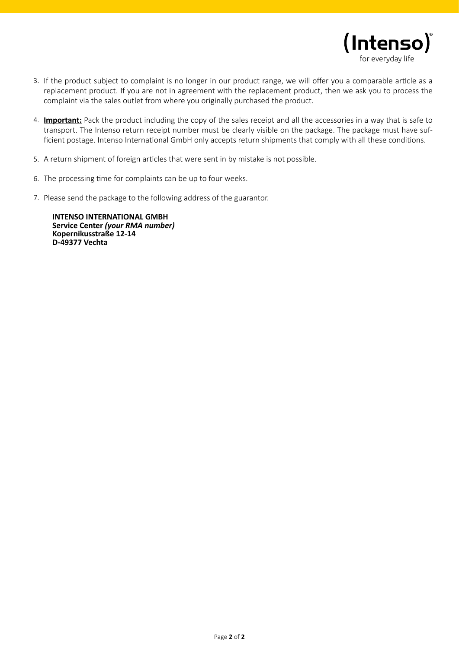

- 3. If the product subject to complaint is no longer in our product range, we will offer you a comparable article as a replacement product. If you are not in agreement with the replacement product, then we ask you to process the complaint via the sales outlet from where you originally purchased the product.
- **Important:** Pack the product including the copy of the sales receipt and all the accessories in a way that is safe to 4. transport. The Intenso return receipt number must be clearly visible on the package. The package must have sufficient postage. Intenso International GmbH only accepts return shipments that comply with all these conditions.
- 5. A return shipment of foreign articles that were sent in by mistake is not possible.
- 6. The processing time for complaints can be up to four weeks.
- 7. Please send the package to the following address of the guarantor.

**INTENSO INTERNATIONAL GMBH Service Center** *(your RMA number)* **Kopernikusstraße 12-14 D-49377 Vechta**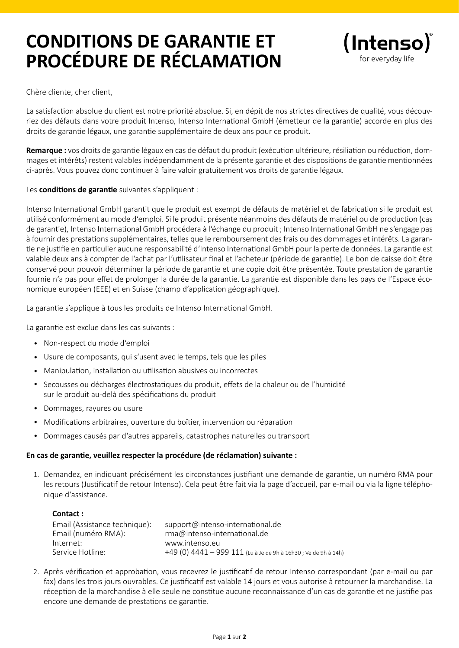## **CONDITIONS DE GARANTIE ET PROCÉDURE DE RÉCLAMATION**



Chère cliente, cher client,

La satisfaction absolue du client est notre priorité absolue. Si, en dépit de nos strictes directives de qualité, vous découvriez des défauts dans votre produit Intenso, Intenso International GmbH (émetteur de la garantie) accorde en plus des droits de garantie légaux, une garantie supplémentaire de deux ans pour ce produit.

**Remarque :** vos droits de garantie légaux en cas de défaut du produit (exécution ultérieure, résiliation ou réduction, dommages et intérêts) restent valables indépendamment de la présente garantie et des dispositions de garantie mentionnées ci-après. Vous pouvez donc continuer à faire valoir gratuitement vos droits de garantie légaux.

Les **conditions de garantie** suivantes s'appliquent :

Intenso International GmbH garantit que le produit est exempt de défauts de matériel et de fabrication si le produit est utilisé conformément au mode d'emploi. Si le produit présente néanmoins des défauts de matériel ou de production (cas de garantie), Intenso International GmbH procédera à l'échange du produit ; Intenso International GmbH ne s'engage pas à fournir des prestations supplémentaires, telles que le remboursement des frais ou des dommages et intérêts. La garantie ne justifie en particulier aucune responsabilité d'Intenso International GmbH pour la perte de données. La garantie est valable deux ans à compter de l'achat par l'utilisateur final et l'acheteur (période de garantie). Le bon de caisse doit être conservé pour pouvoir déterminer la période de garantie et une copie doit être présentée. Toute prestation de garantie fournie n'a pas pour effet de prolonger la durée de la garantie. La garantie est disponible dans les pays de l'Espace économique européen (EEE) et en Suisse (champ d'application géographique).

La garantie s'applique à tous les produits de Intenso International GmbH.

La garantie est exclue dans les cas suivants :

- Non-respect du mode d'emploi •
- Usure de composants, qui s'usent avec le temps, tels que les piles •
- Manipulation, installation ou utilisation abusives ou incorrectes •
- Secousses ou décharges électrostatiques du produit, effets de la chaleur ou de l'humidité sur le produit au-delà des spécifications du produit
- Dommages, rayures ou usure
- Modifications arbitraires, ouverture du boîtier, intervention ou réparation •
- Dommages causés par d'autres appareils, catastrophes naturelles ou transport •

#### **En cas de garantie, veuillez respecter la procédure (de réclamation) suivante :**

1. Demandez, en indiquant précisément les circonstances justifiant une demande de garantie, un numéro RMA pour les retours (Justificatif de retour Intenso). Cela peut être fait via la page d'accueil, par e-mail ou via la ligne téléphonique d'assistance.

| Contact:                      |                                                                 |
|-------------------------------|-----------------------------------------------------------------|
| Email (Assistance technique): | support@intenso-international.de                                |
| Email (numéro RMA):           | rma@intenso-international.de                                    |
| Internet:                     | www.intenso.eu                                                  |
| Service Hotline:              | +49 (0) 4441 - 999 111 (Lu à Je de 9h à 16h30 ; Ve de 9h à 14h) |

2. Après vérification et approbation, vous recevrez le justificatif de retour Intenso correspondant (par e-mail ou par fax) dans les trois jours ouvrables. Ce justificatif est valable 14 jours et vous autorise à retourner la marchandise. La réception de la marchandise à elle seule ne constitue aucune reconnaissance d'un cas de garantie et ne justifie pas encore une demande de prestations de garantie.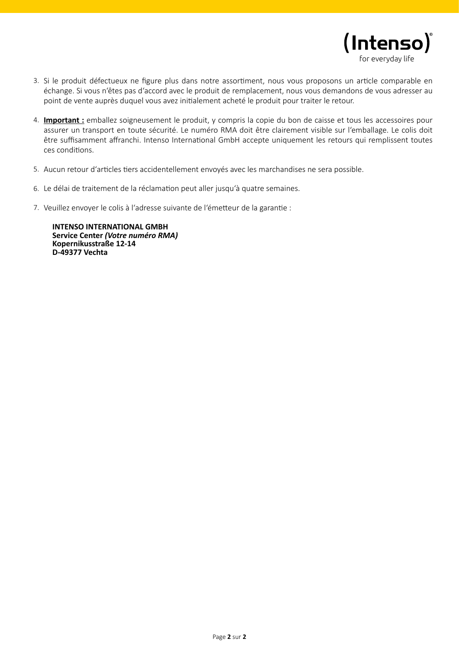

- Si le produit défectueux ne figure plus dans notre assortiment, nous vous proposons un article comparable en 3. échange. Si vous n'êtes pas d'accord avec le produit de remplacement, nous vous demandons de vous adresser au point de vente auprès duquel vous avez initialement acheté le produit pour traiter le retour.
- **Important :** emballez soigneusement le produit, y compris la copie du bon de caisse et tous les accessoires pour 4. assurer un transport en toute sécurité. Le numéro RMA doit être clairement visible sur l'emballage. Le colis doit être suffisamment affranchi. Intenso International GmbH accepte uniquement les retours qui remplissent toutes ces conditions.
- 5. Aucun retour d'articles tiers accidentellement envoyés avec les marchandises ne sera possible.
- Le délai de traitement de la réclamation peut aller jusqu'à quatre semaines. 6.
- 7. Veuillez envoyer le colis à l'adresse suivante de l'émetteur de la garantie :

**INTENSO INTERNATIONAL GMBH Service Center** *(Votre numéro RMA)* **Kopernikusstraße 12-14 D-49377 Vechta**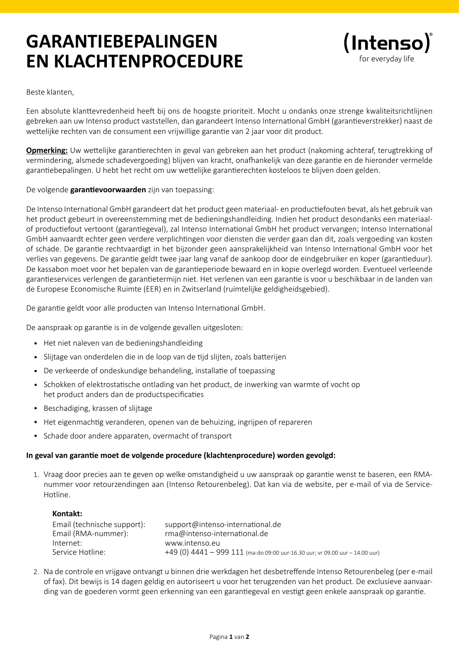## **GARANTIEBEPALINGEN EN KLACHTENPROCEDURE**



Beste klanten,

Een absolute klanttevredenheid heeft bij ons de hoogste prioriteit. Mocht u ondanks onze strenge kwaliteitsrichtlijnen gebreken aan uw Intenso product vaststellen, dan garandeert Intenso International GmbH (garantieverstrekker) naast de wettelijke rechten van de consument een vrijwillige garantie van 2 jaar voor dit product.

**Opmerking:** Uw wettelijke garantierechten in geval van gebreken aan het product (nakoming achteraf, terugtrekking of vermindering, alsmede schadevergoeding) blijven van kracht, onafhankelijk van deze garantie en de hieronder vermelde garantiebepalingen. U hebt het recht om uw wettelijke garantierechten kosteloos te blijven doen gelden.

De volgende **garantievoorwaarden** zijn van toepassing:

De Intenso International GmbH garandeert dat het product geen materiaal- en productiefouten bevat, als het gebruik van het product gebeurt in overeenstemming met de bedieningshandleiding. Indien het product desondanks een materiaalof productiefout vertoont (garantiegeval), zal Intenso International GmbH het product vervangen; Intenso International GmbH aanvaardt echter geen verdere verplichtingen voor diensten die verder gaan dan dit, zoals vergoeding van kosten of schade. De garantie rechtvaardigt in het bijzonder geen aansprakelijkheid van Intenso International GmbH voor het verlies van gegevens. De garantie geldt twee jaar lang vanaf de aankoop door de eindgebruiker en koper (garantieduur). De kassabon moet voor het bepalen van de garantieperiode bewaard en in kopie overlegd worden. Eventueel verleende garantieservices verlengen de garantietermijn niet. Het verlenen van een garantie is voor u beschikbaar in de landen van de Europese Economische Ruimte (EER) en in Zwitserland (ruimtelijke geldigheidsgebied).

De garantie geldt voor alle producten van Intenso International GmbH.

De aanspraak op garantie is in de volgende gevallen uitgesloten:

- Het niet naleven van de bedieningshandleiding •
- Slijtage van onderdelen die in de loop van de tijd slijten, zoals batterijen •
- De verkeerde of ondeskundige behandeling, installatie of toepassing •
- Schokken of elektrostatische ontlading van het product, de inwerking van warmte of vocht op het product anders dan de productspecificaties
- Beschadiging, krassen of slijtage
- Het eigenmachtig veranderen, openen van de behuizing, ingrijpen of repareren
- Schade door andere apparaten, overmacht of transport

#### **In geval van garantie moet de volgende procedure (klachtenprocedure) worden gevolgd:**

1. Vraag door precies aan te geven op welke omstandigheid u uw aanspraak op garantie wenst te baseren, een RMAnummer voor retourzendingen aan (Intenso Retourenbeleg). Dat kan via de website, per e-mail of via de Service-Hotline.

| Kontakt:                    |                                                                              |
|-----------------------------|------------------------------------------------------------------------------|
| Email (technische support): | support@intenso-international.de                                             |
| Email (RMA-nummer):         | rma@intenso-international.de                                                 |
| Internet:                   | www.intenso.eu                                                               |
| Service Hotline:            | +49 (0) 4441 - 999 111 (ma-do 09:00 uur-16.30 uur; vr 09.00 uur - 14.00 uur) |

2. Na de controle en vrijgave ontvangt u binnen drie werkdagen het desbetreffende Intenso Retourenbeleg (per e-mail of fax). Dit bewijs is 14 dagen geldig en autoriseert u voor het terugzenden van het product. De exclusieve aanvaarding van de goederen vormt geen erkenning van een garantiegeval en vestigt geen enkele aanspraak op garantie.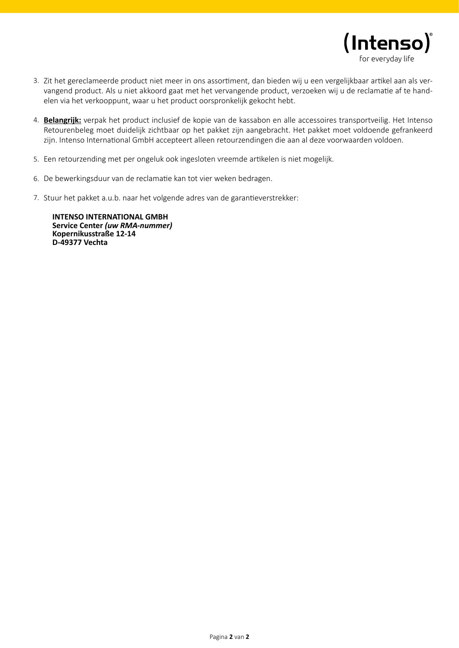

- 3. Zit het gereclameerde product niet meer in ons assortiment, dan bieden wij u een vergelijkbaar artikel aan als vervangend product. Als u niet akkoord gaat met het vervangende product, verzoeken wij u de reclamatie af te handelen via het verkooppunt, waar u het product oorspronkelijk gekocht hebt.
- 4. Belangrijk: verpak het product inclusief de kopie van de kassabon en alle accessoires transportveilig. Het Intenso Retourenbeleg moet duidelijk zichtbaar op het pakket zijn aangebracht. Het pakket moet voldoende gefrankeerd zijn. Intenso International GmbH accepteert alleen retourzendingen die aan al deze voorwaarden voldoen.
- Een retourzending met per ongeluk ook ingesloten vreemde artikelen is niet mogelijk. 5.
- 6. De bewerkingsduur van de reclamatie kan tot vier weken bedragen.
- 7. Stuur het pakket a.u.b. naar het volgende adres van de garantieverstrekker:

**INTENSO INTERNATIONAL GMBH Service Center** *(uw RMA-nummer)* **Kopernikusstraße 12-14 D-49377 Vechta**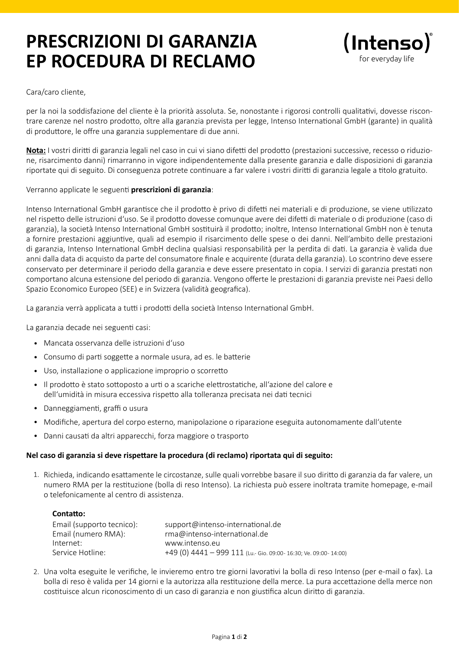## **PRESCRIZIONI DI GARANZIA EP ROCEDURA DI RECLAMO**



#### Cara/caro cliente,

per la noi la soddisfazione del cliente è la priorità assoluta. Se, nonostante i rigorosi controlli qualitativi, dovesse riscontrare carenze nel nostro prodotto, oltre alla garanzia prevista per legge, Intenso International GmbH (garante) in qualità di produttore, le offre una garanzia supplementare di due anni.

**Nota:** I vostri diritti di garanzia legali nel caso in cui vi siano difetti del prodotto (prestazioni successive, recesso o riduzione, risarcimento danni) rimarranno in vigore indipendentemente dalla presente garanzia e dalle disposizioni di garanzia riportate qui di seguito. Di conseguenza potrete continuare a far valere i vostri diritti di garanzia legale a titolo gratuito.

#### Verranno applicate le seguenti **prescrizioni di garanzia**:

Intenso International GmbH garantisce che il prodotto è privo di difetti nei materiali e di produzione, se viene utilizzato nel rispetto delle istruzioni d'uso. Se il prodotto dovesse comunque avere dei difetti di materiale o di produzione (caso di garanzia), la società Intenso International GmbH sostituirà il prodotto; inoltre, Intenso International GmbH non è tenuta a fornire prestazioni aggiuntive, quali ad esempio il risarcimento delle spese o dei danni. Nell'ambito delle prestazioni di garanzia, Intenso International GmbH declina qualsiasi responsabilità per la perdita di dati. La garanzia è valida due anni dalla data di acquisto da parte del consumatore finale e acquirente (durata della garanzia). Lo scontrino deve essere conservato per determinare il periodo della garanzia e deve essere presentato in copia. I servizi di garanzia prestati non comportano alcuna estensione del periodo di garanzia. Vengono offerte le prestazioni di garanzia previste nei Paesi dello Spazio Economico Europeo (SEE) e in Svizzera (validità geografica).

La garanzia verrà applicata a tutti i prodotti della società Intenso International GmbH.

La garanzia decade nei seguenti casi:

- Mancata osservanza delle istruzioni d'uso •
- Consumo di parti soggette a normale usura, ad es. le batterie •
- Uso, installazione o applicazione improprio o scorretto •
- Il prodotto è stato sottoposto a urti o a scariche elettrostatiche, all'azione del calore e dell'umidità in misura eccessiva rispetto alla tolleranza precisata nei dati tecnici
- Danneggiamenti, graffi o usura •
- Modifiche, apertura del corpo esterno, manipolazione o riparazione eseguita autonomamente dall'utente •
- Danni causati da altri apparecchi, forza maggiore o trasporto •

#### **Nel caso di garanzia si deve rispettare la procedura (di reclamo) riportata qui di seguito:**

1. Richieda, indicando esattamente le circostanze, sulle quali vorrebbe basare il suo diritto di garanzia da far valere, un numero RMA per la restituzione (bolla di reso Intenso). La richiesta può essere inoltrata tramite homepage, e-mail o telefonicamente al centro di assistenza.

#### **Contatto:**

| Email (supporto tecnico): | support@intenso-international.de                                |
|---------------------------|-----------------------------------------------------------------|
| Email (numero RMA):       | $rma@intenso-international.de$                                  |
| Internet:                 | www.intenso.eu                                                  |
| Service Hotline:          | +49 (0) 4441 - 999 111 (Lu.- Gio. 09:00-16:30; Ve. 09:00-14:00) |

2. Una volta eseguite le verifiche, le invieremo entro tre giorni lavorativi la bolla di reso Intenso (per e-mail o fax). La bolla di reso è valida per 14 giorni e la autorizza alla restituzione della merce. La pura accettazione della merce non costituisce alcun riconoscimento di un caso di garanzia e non giustifica alcun diritto di garanzia.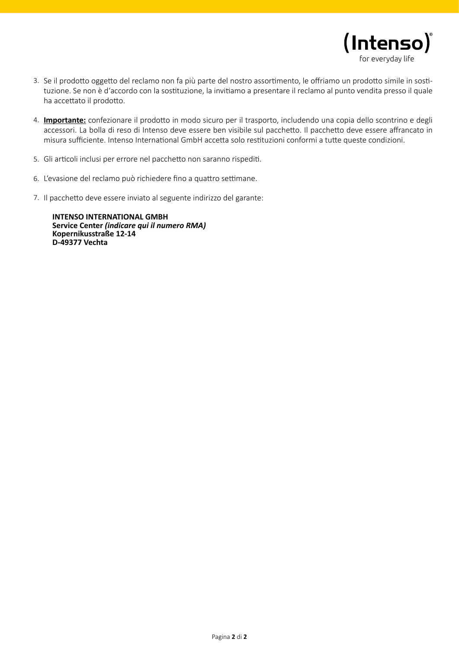

- 3. Se il prodotto oggetto del reclamo non fa più parte del nostro assortimento, le offriamo un prodotto simile in sostituzione. Se non è d'accordo con la sostituzione, la invitiamo a presentare il reclamo al punto vendita presso il quale ha accettato il prodotto.
- **Importante:** confezionare il prodotto in modo sicuro per il trasporto, includendo una copia dello scontrino e degli 4. accessori. La bolla di reso di Intenso deve essere ben visibile sul pacchetto. Il pacchetto deve essere affrancato in misura sufficiente. Intenso International GmbH accetta solo restituzioni conformi a tutte queste condizioni.
- 5. Gli articoli inclusi per errore nel pacchetto non saranno rispediti.
- 6. L'evasione del reclamo può richiedere fino a quattro settimane.
- 7. Il pacchetto deve essere inviato al seguente indirizzo del garante:

**INTENSO INTERNATIONAL GMBH Service Center** *(indicare qui il numero RMA)* **Kopernikusstraße 12-14 D-49377 Vechta**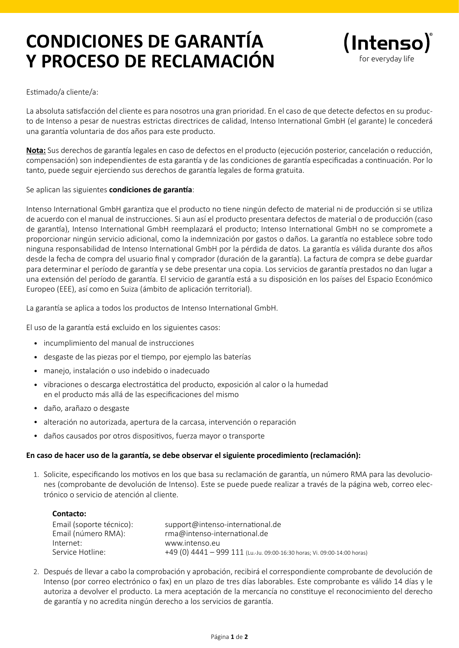## **CONDICIONES DE GARANTÍA Y PROCESO DE RECLAMACIÓN**



#### Estimado/a cliente/a:

La absoluta satisfacción del cliente es para nosotros una gran prioridad. En el caso de que detecte defectos en su producto de Intenso a pesar de nuestras estrictas directrices de calidad, Intenso International GmbH (el garante) le concederá una garantía voluntaria de dos años para este producto.

**Nota:** Sus derechos de garantía legales en caso de defectos en el producto (ejecución posterior, cancelación o reducción, compensación) son independientes de esta garantía y de las condiciones de garantía especificadas a continuación. Por lo tanto, puede seguir ejerciendo sus derechos de garantía legales de forma gratuita.

#### Se aplican las siguientes **condiciones de garantía**:

Intenso International GmbH garantiza que el producto no tiene ningún defecto de material ni de producción si se utiliza de acuerdo con el manual de instrucciones. Si aun así el producto presentara defectos de material o de producción (caso de garantía), Intenso International GmbH reemplazará el producto; Intenso International GmbH no se compromete a proporcionar ningún servicio adicional, como la indemnización por gastos o daños. La garantía no establece sobre todo ninguna responsabilidad de Intenso International GmbH por la pérdida de datos. La garantía es válida durante dos años desde la fecha de compra del usuario final y comprador (duración de la garantía). La factura de compra se debe guardar para determinar el período de garantía y se debe presentar una copia. Los servicios de garantía prestados no dan lugar a una extensión del período de garantía. El servicio de garantía está a su disposición en los países del Espacio Económico Europeo (EEE), así como en Suiza (ámbito de aplicación territorial).

La garantía se aplica a todos los productos de Intenso International GmbH.

El uso de la garantía está excluido en los siguientes casos:

- incumplimiento del manual de instrucciones •
- desgaste de las piezas por el tiempo, por ejemplo las baterías •
- manejo, instalación o uso indebido o inadecuado •
- vibraciones o descarga electrostática del producto, exposición al calor o la humedad en el producto más allá de las especificaciones del mismo
- daño, arañazo o desgaste •
- alteración no autorizada, apertura de la carcasa, intervención o reparación •
- daños causados por otros dispositivos, fuerza mayor o transporte •

#### **En caso de hacer uso de la garantía, se debe observar el siguiente procedimiento (reclamación):**

1. Solicite, especificando los motivos en los que basa su reclamación de garantía, un número RMA para las devoluciones (comprobante de devolución de Intenso). Este se puede puede realizar a través de la página web, correo electrónico o servicio de atención al cliente.

| Contacto:                |                                                                           |
|--------------------------|---------------------------------------------------------------------------|
| Email (soporte técnico): | support@intenso-international.de                                          |
| Email (número RMA):      | rma@intenso-international.de                                              |
| Internet:                | www.intenso.eu                                                            |
| Service Hotline:         | +49 (0) 4441 - 999 111 (Lu.-Ju. 09:00-16:30 horas; Vi. 09:00-14:00 horas) |

2. Después de llevar a cabo la comprobación y aprobación, recibirá el correspondiente comprobante de devolución de Intenso (por correo electrónico o fax) en un plazo de tres días laborables. Este comprobante es válido 14 días y le autoriza a devolver el producto. La mera aceptación de la mercancía no constituye el reconocimiento del derecho de garantía y no acredita ningún derecho a los servicios de garantía.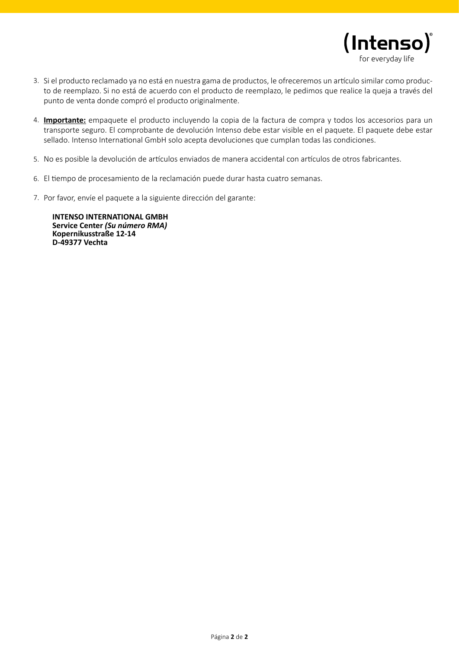

- Si el producto reclamado ya no está en nuestra gama de productos, le ofreceremos un artículo similar como produc-3. to de reemplazo. Si no está de acuerdo con el producto de reemplazo, le pedimos que realice la queja a través del punto de venta donde compró el producto originalmente.
- **Importante:** empaquete el producto incluyendo la copia de la factura de compra y todos los accesorios para un 4. transporte seguro. El comprobante de devolución Intenso debe estar visible en el paquete. El paquete debe estar sellado. Intenso International GmbH solo acepta devoluciones que cumplan todas las condiciones.
- 5. No es posible la devolución de artículos enviados de manera accidental con artículos de otros fabricantes.
- El tiempo de procesamiento de la reclamación puede durar hasta cuatro semanas. 6.
- 7. Por favor, envíe el paquete a la siguiente dirección del garante:

**INTENSO INTERNATIONAL GMBH Service Center** *(Su número RMA)* **Kopernikusstraße 12-14 D-49377 Vechta**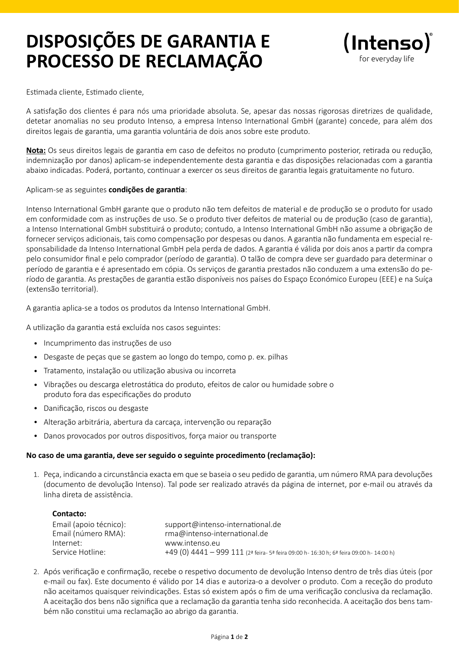## **DISPOSIÇÕES DE GARANTIA E PROCESSO DE RECLAMAÇÃO**



Estimada cliente, Estimado cliente,

A satisfação dos clientes é para nós uma prioridade absoluta. Se, apesar das nossas rigorosas diretrizes de qualidade, detetar anomalias no seu produto Intenso, a empresa Intenso International GmbH (garante) concede, para além dos direitos legais de garantia, uma garantia voluntária de dois anos sobre este produto.

**Nota:** Os seus direitos legais de garantia em caso de defeitos no produto (cumprimento posterior, retirada ou redução, indemnização por danos) aplicam-se independentemente desta garantia e das disposições relacionadas com a garantia abaixo indicadas. Poderá, portanto, continuar a exercer os seus direitos de garantia legais gratuitamente no futuro.

#### Aplicam-se as seguintes **condições de garantia**:

Intenso International GmbH garante que o produto não tem defeitos de material e de produção se o produto for usado em conformidade com as instruções de uso. Se o produto tiver defeitos de material ou de produção (caso de garantia), a Intenso International GmbH substituirá o produto; contudo, a Intenso International GmbH não assume a obrigação de fornecer serviços adicionais, tais como compensação por despesas ou danos. A garantia não fundamenta em especial responsabilidade da Intenso International GmbH pela perda de dados. A garantia é válida por dois anos a partir da compra pelo consumidor final e pelo comprador (período de garantia). O talão de compra deve ser guardado para determinar o período de garantia e é apresentado em cópia. Os serviços de garantia prestados não conduzem a uma extensão do período de garantia. As prestações de garantia estão disponíveis nos países do Espaço Económico Europeu (EEE) e na Suíça (extensão territorial).

A garantia aplica-se a todos os produtos da Intenso International GmbH.

A utilização da garantia está excluída nos casos seguintes:

- Incumprimento das instruções de uso •
- Desgaste de peças que se gastem ao longo do tempo, como p. ex. pilhas •
- Tratamento, instalação ou utilização abusiva ou incorreta •
- Vibrações ou descarga eletrostática do produto, efeitos de calor ou humidade sobre o produto fora das especificações do produto
- Danificação, riscos ou desgaste •
- Alteração arbitrária, abertura da carcaça, intervenção ou reparação •
- Danos provocados por outros dispositivos, força maior ou transporte •

#### **No caso de uma garantia, deve ser seguido o seguinte procedimento (reclamação):**

Peça, indicando a circunstância exacta em que se baseia o seu pedido de garantia, um número RMA para devoluções 1. (documento de devolução Intenso). Tal pode ser realizado através da página de internet, por e-mail ou através da linha direta de assistência.

| Contacto:              |                                                                                         |
|------------------------|-----------------------------------------------------------------------------------------|
| Email (apoio técnico): | support@intenso-international.de                                                        |
| Email (número RMA):    | rma@intenso-international.de                                                            |
| Internet:              | www.intenso.eu                                                                          |
| Service Hotline:       | +49 (0) 4441 - 999 111 (2ª feira- 5ª feira 09:00 h- 16:30 h; 6ª feira 09:00 h- 14:00 h) |

2. Após verificação e confirmação, recebe o respetivo documento de devolução Intenso dentro de três dias úteis (por e-mail ou fax). Este documento é válido por 14 dias e autoriza-o a devolver o produto. Com a receção do produto não aceitamos quaisquer reivindicações. Estas só existem após o fim de uma verificação conclusiva da reclamação. A aceitação dos bens não significa que a reclamação da garantia tenha sido reconhecida. A aceitação dos bens também não constitui uma reclamação ao abrigo da garantia.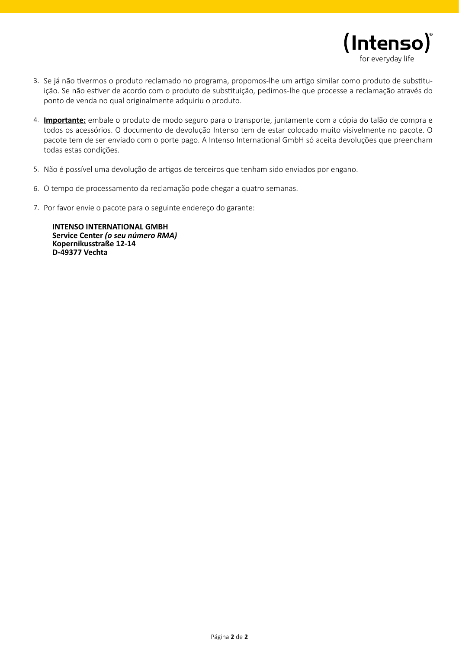

- Se já não tivermos o produto reclamado no programa, propomos-lhe um artigo similar como produto de substitu-3. ição. Se não estiver de acordo com o produto de substituição, pedimos-lhe que processe a reclamação através do ponto de venda no qual originalmente adquiriu o produto.
- **Importante:** embale o produto de modo seguro para o transporte, juntamente com a cópia do talão de compra e 4. todos os acessórios. O documento de devolução Intenso tem de estar colocado muito visivelmente no pacote. O pacote tem de ser enviado com o porte pago. A Intenso International GmbH só aceita devoluções que preencham todas estas condições.
- 5. Não é possível uma devolução de artigos de terceiros que tenham sido enviados por engano.
- 6. O tempo de processamento da reclamação pode chegar a quatro semanas.
- 7. Por favor envie o pacote para o seguinte endereço do garante:

**INTENSO INTERNATIONAL GMBH Service Center** *(o seu número RMA)* **Kopernikusstraße 12-14 D-49377 Vechta**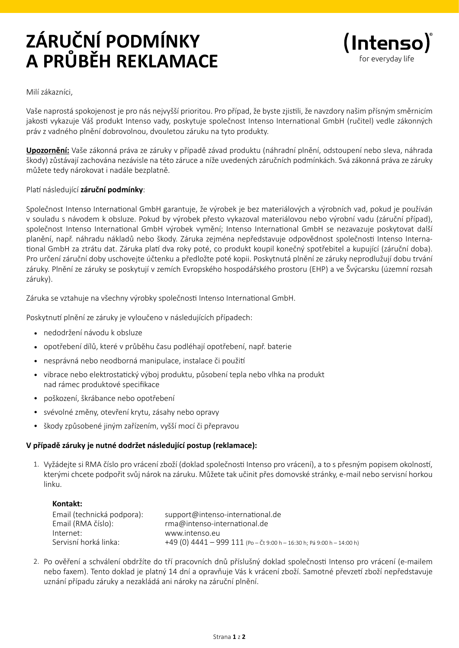# **ZÁRUČNÍ PODMÍNKY A PRŮBĚH REKLAMACE**



#### Milí zákazníci,

Vaše naprostá spokojenost je pro nás nejvyšší prioritou. Pro případ, že byste zjistili, že navzdory našim přísným směrnicím jakosti vykazuje Váš produkt Intenso vady, poskytuje společnost Intenso International GmbH (ručitel) vedle zákonných práv z vadného plnění dobrovolnou, dvouletou záruku na tyto produkty.

**Upozornění:** Vaše zákonná práva ze záruky v případě závad produktu (náhradní plnění, odstoupení nebo sleva, náhrada škody) zůstávají zachována nezávisle na této záruce a níže uvedených záručních podmínkách. Svá zákonná práva ze záruky můžete tedy nárokovat i nadále bezplatně.

#### Platí následující **záruční podmínky**:

Společnost Intenso International GmbH garantuje, že výrobek je bez materiálových a výrobních vad, pokud je používán v souladu s návodem k obsluze. Pokud by výrobek přesto vykazoval materiálovou nebo výrobní vadu (záruční případ), společnost Intenso International GmbH výrobek vymění; Intenso International GmbH se nezavazuje poskytovat další planění, např. náhradu nákladů nebo škody. Záruka zejména nepředstavuje odpovědnost společnosti Intenso International GmbH za ztrátu dat. Záruka platí dva roky poté, co produkt koupil konečný spotřebitel a kupující (záruční doba). Pro určení záruční doby uschovejte účtenku a předložte poté kopii. Poskytnutá plnění ze záruky neprodlužují dobu trvání záruky. Plnění ze záruky se poskytují v zemích Evropského hospodářského prostoru (EHP) a ve Švýcarsku (územní rozsah záruky).

Záruka se vztahuje na všechny výrobky společnosti Intenso International GmbH.

Poskytnutí plnění ze záruky je vyloučeno v následujících případech:

- nedodržení návodu k obsluze •
- opotřebení dílů, které v průběhu času podléhají opotřebení, např. baterie •
- nesprávná nebo neodborná manipulace, instalace či použití •
- vibrace nebo elektrostatický výboj produktu, působení tepla nebo vlhka na produkt nad rámec produktové specifikace
- poškození, škrábance nebo opotřebení •
- svévolné změny, otevření krytu, zásahy nebo opravy •
- škody způsobené jiným zařízením, vyšší mocí či přepravou •

#### **V případě záruky je nutné dodržet následující postup (reklamace):**

1. Vyžádejte si RMA číslo pro vrácení zboží (doklad společnosti Intenso pro vrácení), a to s přesným popisem okolností, kterými chcete podpořit svůj nárok na záruku. Můžete tak učinit přes domovské stránky, e-mail nebo servisní horkou linku.

#### **Kontakt:**

| Email (technická podpora): | support@intenso-international.de                                         |
|----------------------------|--------------------------------------------------------------------------|
| Email (RMA číslo):         | rma@intenso-international.de                                             |
| Internet:                  | www.intenso.eu                                                           |
| Servisní horká linka:      | +49 (0) $4441 - 999$ 111 (Po - Čt 9:00 h - 16:30 h; Pá 9:00 h - 14:00 h) |

Po ověření a schválení obdržíte do tří pracovních dnů příslušný doklad společnosti Intenso pro vrácení (e-mailem 2. nebo faxem). Tento doklad je platný 14 dní a opravňuje Vás k vrácení zboží. Samotné převzetí zboží nepředstavuje uznání případu záruky a nezakládá ani nároky na záruční plnění.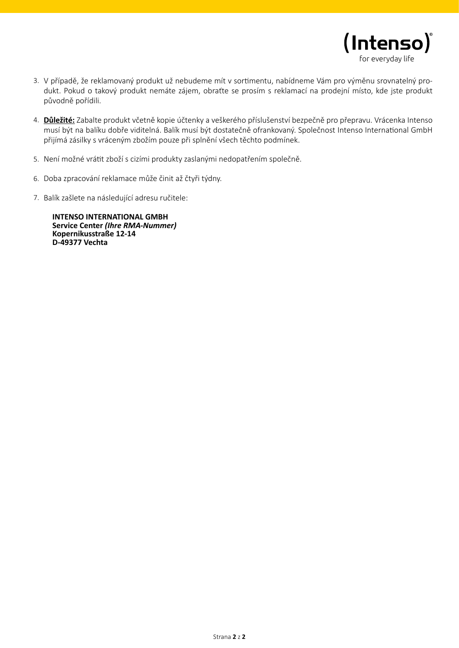

- 3. V případě, že reklamovaný produkt už nebudeme mít v sortimentu, nabídneme Vám pro výměnu srovnatelný produkt. Pokud o takový produkt nemáte zájem, obraťte se prosím s reklamací na prodejní místo, kde jste produkt původně pořídili.
- **Důležité:** Zabalte produkt včetně kopie účtenky a veškerého příslušenství bezpečně pro přepravu. Vrácenka Intenso 4. musí být na balíku dobře viditelná. Balík musí být dostatečně ofrankovaný. Společnost Intenso International GmbH přijímá zásilky s vráceným zbožím pouze při splnění všech těchto podmínek.
- 5. Není možné vrátit zboží s cizími produkty zaslanými nedopatřením společně.
- 6. Doba zpracování reklamace může činit až čtyři týdny.
- 7. Balík zašlete na následující adresu ručitele:

**INTENSO INTERNATIONAL GMBH Service Center** *(Ihre RMA-Nummer)* **Kopernikusstraße 12-14 D-49377 Vechta**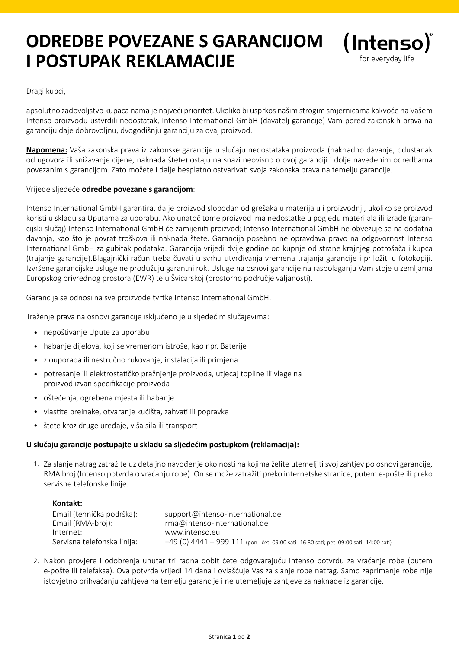### **ODREDBE POVEZANE S GARANCIJOM I POSTUPAK REKLAMACIJE**



Dragi kupci,

apsolutno zadovoljstvo kupaca nama je najveći prioritet. Ukoliko bi usprkos našim strogim smjernicama kakvoće na Vašem Intenso proizvodu ustvrdili nedostatak, Intenso International GmbH (davatelj garancije) Vam pored zakonskih prava na garanciju daje dobrovoljnu, dvogodišnju garanciju za ovaj proizvod.

**Napomena:** Vaša zakonska prava iz zakonske garancije u slučaju nedostataka proizvoda (naknadno davanje, odustanak od ugovora ili snižavanje cijene, naknada štete) ostaju na snazi neovisno o ovoj garanciji i dolje navedenim odredbama povezanim s garancijom. Zato možete i dalje besplatno ostvarivati svoja zakonska prava na temelju garancije.

#### Vrijede sljedeće **odredbe povezane s garancijom**:

Intenso International GmbH garantira, da je proizvod slobodan od grešaka u materijalu i proizvodnji, ukoliko se proizvod koristi u skladu sa Uputama za uporabu. Ako unatoč tome proizvod ima nedostatke u pogledu materijala ili izrade (garancijski slučaj) Intenso International GmbH će zamijeniti proizvod; Intenso International GmbH ne obvezuje se na dodatna davanja, kao što je povrat troškova ili naknada štete. Garancija posebno ne opravdava pravo na odgovornost Intenso International GmbH za gubitak podataka. Garancija vrijedi dvije godine od kupnje od strane krajnjeg potrošača i kupca (trajanje garancije).Blagajnički račun treba čuvati u svrhu utvrđivanja vremena trajanja garancije i priložiti u fotokopiji. Izvršene garancijske usluge ne produžuju garantni rok. Usluge na osnovi garancije na raspolaganju Vam stoje u zemljama Europskog privrednog prostora (EWR) te u Švicarskoj (prostorno područje valjanosti).

Garancija se odnosi na sve proizvode tvrtke Intenso International GmbH.

Traženje prava na osnovi garancije isključeno je u sljedećim slučajevima:

- nepoštivanje Upute za uporabu •
- habanje dijelova, koji se vremenom istroše, kao npr. Baterije •
- zlouporaba ili nestručno rukovanje, instalacija ili primjena •
- potresanje ili elektrostatičko pražnjenje proizvoda, utjecaj topline ili vlage na proizvod izvan specifikacije proizvoda
- oštećenja, ogrebena mjesta ili habanje •
- vlastite preinake, otvaranje kućišta, zahvati ili popravke
- štete kroz druge uređaje, viša sila ili transport •

#### **U slučaju garancije postupajte u skladu sa sljedećim postupkom (reklamacija):**

1. Za slanje natrag zatražite uz detaljno navođenje okolnosti na kojima želite utemeljiti svoj zahtjev po osnovi garancije, RMA broj (Intenso potvrda o vraćanju robe). On se može zatražiti preko internetske stranice, putem e-pošte ili preko servisne telefonske linije.

### **Kontakt:**  Email (tehnička podrška): support@intenso-international.de Email (RMA-broj): rma@intenso-international.de Internet: www.intenso.eu Servisna telefonska linija: +49 (0) 4441 – 999 111 (pon.- čet. 09:00 sati- 16:30 sati; pet. 09:00 sati- 14:00 sati)

2. Nakon provjere i odobrenja unutar tri radna dobit ćete odgovarajuću Intenso potvrdu za vraćanje robe (putem e-pošte ili telefaksa). Ova potvrda vrijedi 14 dana i ovlašćuje Vas za slanje robe natrag. Samo zaprimanje robe nije istovjetno prihvaćanju zahtjeva na temelju garancije i ne utemeljuje zahtjeve za naknade iz garancije.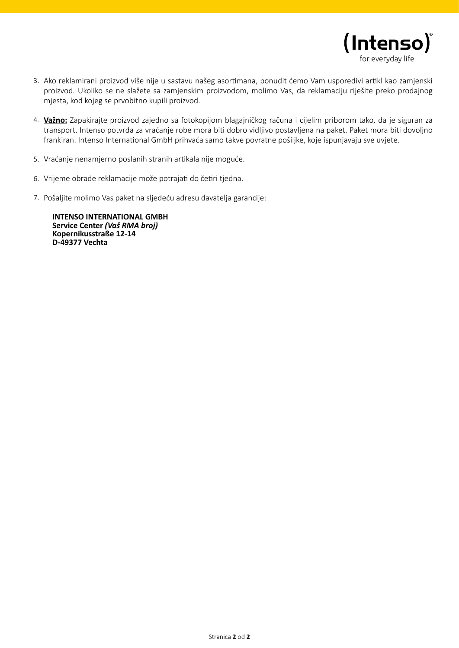

- 3. Ako reklamirani proizvod više nije u sastavu našeg asortimana, ponudit ćemo Vam usporedivi artikl kao zamjenski proizvod. Ukoliko se ne slažete sa zamjenskim proizvodom, molimo Vas, da reklamaciju riješite preko prodajnog mjesta, kod kojeg se prvobitno kupili proizvod.
- **Važno:** Zapakirajte proizvod zajedno sa fotokopijom blagajničkog računa i cijelim priborom tako, da je siguran za 4. transport. Intenso potvrda za vraćanje robe mora biti dobro vidljivo postavljena na paket. Paket mora biti dovoljno frankiran. Intenso International GmbH prihvaća samo takve povratne pošiljke, koje ispunjavaju sve uvjete.
- 5. Vraćanje nenamjerno poslanih stranih artikala nije moguće.
- 6. Vrijeme obrade reklamacije može potrajati do četiri tjedna.
- Pošaljite molimo Vas paket na sljedeću adresu davatelja garancije: 7.

**INTENSO INTERNATIONAL GMBH Service Center** *(Vaš RMA broj)* **Kopernikusstraße 12-14 D-49377 Vechta**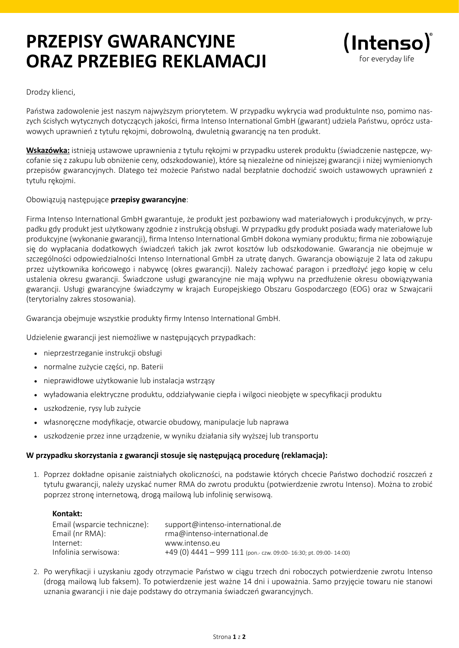## **PRZEPISY GWARANCYJNE ORAZ PRZEBIEG REKLAMACJI**



Drodzy klienci,

Państwa zadowolenie jest naszym najwyższym priorytetem. W przypadku wykrycia wad produktuInte nso, pomimo naszych ścisłych wytycznych dotyczących jakości, firma Intenso International GmbH (gwarant) udziela Państwu, oprócz ustawowych uprawnień z tytułu rękojmi, dobrowolną, dwuletnią gwarancję na ten produkt.

**Wskazówka:** istnieją ustawowe uprawnienia z tytułu rękojmi w przypadku usterek produktu (świadczenie następcze, wycofanie się z zakupu lub obniżenie ceny, odszkodowanie), które są niezależne od niniejszej gwarancji i niżej wymienionych przepisów gwarancyjnych. Dlatego też możecie Państwo nadal bezpłatnie dochodzić swoich ustawowych uprawnień z tytułu rękojmi.

#### Obowiązują następujące **przepisy gwarancyjne**:

Firma Intenso International GmbH gwarantuje, że produkt jest pozbawiony wad materiałowych i produkcyjnych, w przypadku gdy produkt jest użytkowany zgodnie z instrukcją obsługi. W przypadku gdy produkt posiada wady materiałowe lub produkcyjne (wykonanie gwarancji), firma Intenso International GmbH dokona wymiany produktu; firma nie zobowiązuje się do wypłacania dodatkowych świadczeń takich jak zwrot kosztów lub odszkodowanie. Gwarancja nie obejmuje w szczególności odpowiedzialności Intenso International GmbH za utratę danych. Gwarancja obowiązuje 2 lata od zakupu przez użytkownika końcowego i nabywcę (okres gwarancji). Należy zachować paragon i przedłożyć jego kopię w celu ustalenia okresu gwarancji. Świadczone usługi gwarancyjne nie mają wpływu na przedłużenie okresu obowiązywania gwarancji. Usługi gwarancyjne świadczymy w krajach Europejskiego Obszaru Gospodarczego (EOG) oraz w Szwajcarii (terytorialny zakres stosowania).

Gwarancja obejmuje wszystkie produkty firmy Intenso International GmbH.

Udzielenie gwarancji jest niemożliwe w następujących przypadkach:

- nieprzestrzeganie instrukcji obsługi •
- normalne zużycie części, np. Baterii •
- nieprawidłowe użytkowanie lub instalacja wstrząsy •
- wyładowania elektryczne produktu, oddziaływanie ciepła i wilgoci nieobjęte w specyfikacji produktu •
- uszkodzenie, rysy lub zużycie •
- własnoręczne modyfikacje, otwarcie obudowy, manipulacje lub naprawa •
- uszkodzenie przez inne urządzenie, w wyniku działania siły wyższej lub transportu •

### **W przypadku skorzystania z gwarancji stosuje się następującą procedurę (reklamacja):**

1. Poprzez dokładne opisanie zaistniałych okoliczności, na podstawie których chcecie Państwo dochodzić roszczeń z tytułu gwarancji, należy uzyskać numer RMA do zwrotu produktu (potwierdzenie zwrotu Intenso). Można to zrobić poprzez stronę internetową, drogą mailową lub infolinię serwisową.

| support@intenso-international.de                                 |
|------------------------------------------------------------------|
| rma@intenso-international.de                                     |
| www.intenso.eu                                                   |
| +49 (0) 4441 - 999 111 (pon.- czw. 09:00-16:30; pt. 09:00-14:00) |
|                                                                  |

2. Po weryfikacji i uzyskaniu zgody otrzymacie Państwo w ciągu trzech dni roboczych potwierdzenie zwrotu Intenso (drogą mailową lub faksem). To potwierdzenie jest ważne 14 dni i upoważnia. Samo przyjęcie towaru nie stanowi uznania gwarancji i nie daje podstawy do otrzymania świadczeń gwarancyjnych.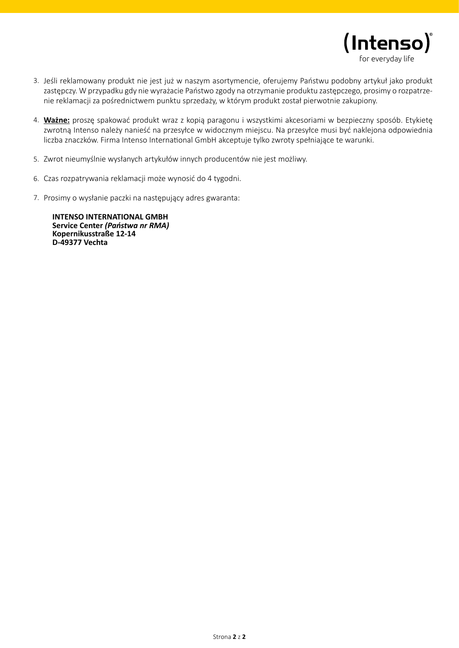

- 3. Jeśli reklamowany produkt nie jest już w naszym asortymencie, oferujemy Państwu podobny artykuł jako produkt zastępczy. W przypadku gdy nie wyrażacie Państwo zgody na otrzymanie produktu zastępczego, prosimy o rozpatrzenie reklamacji za pośrednictwem punktu sprzedaży, w którym produkt został pierwotnie zakupiony.
- **Ważne:** proszę spakować produkt wraz z kopią paragonu i wszystkimi akcesoriami w bezpieczny sposób. Etykietę 4. zwrotną Intenso należy nanieść na przesyłce w widocznym miejscu. Na przesyłce musi być naklejona odpowiednia liczba znaczków. Firma Intenso International GmbH akceptuje tylko zwroty spełniające te warunki.
- 5. Zwrot nieumyślnie wysłanych artykułów innych producentów nie jest możliwy.
- 6. Czas rozpatrywania reklamacji może wynosić do 4 tygodni.
- 7. Prosimy o wysłanie paczki na następujący adres gwaranta:

**INTENSO INTERNATIONAL GMBH Service Center** *(Państwa nr RMA)* **Kopernikusstraße 12-14 D-49377 Vechta**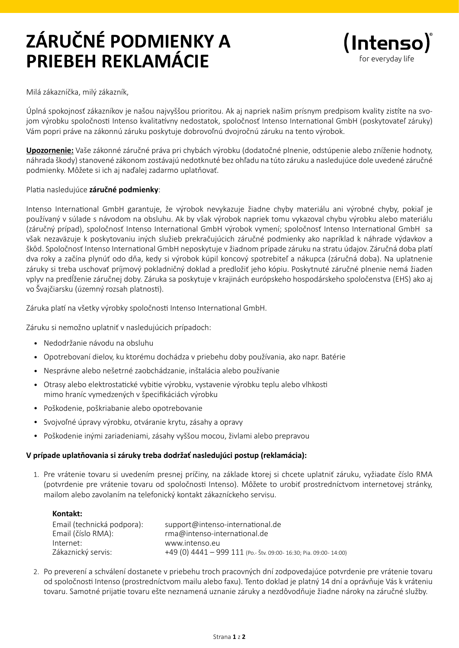# **ZÁRUČNÉ PODMIENKY A PRIEBEH REKLAMÁCIE**



Milá zákazníčka, milý zákazník,

Úplná spokojnosť zákazníkov je našou najvyššou prioritou. Ak aj napriek našim prísnym predpisom kvality zistíte na svojom výrobku spoločnosti Intenso kvalitatívny nedostatok, spoločnosť Intenso International GmbH (poskytovateľ záruky) Vám popri práve na zákonnú záruku poskytuje dobrovoľnú dvojročnú záruku na tento výrobok.

**Upozornenie:** Vaše zákonné záručné práva pri chybách výrobku (dodatočné plnenie, odstúpenie alebo zníženie hodnoty, náhrada škody) stanovené zákonom zostávajú nedotknuté bez ohľadu na túto záruku a nasledujúce dole uvedené záručné podmienky. Môžete si ich aj naďalej zadarmo uplatňovať.

#### Platia nasledujúce **záručné podmienky**:

Intenso International GmbH garantuje, že výrobok nevykazuje žiadne chyby materiálu ani výrobné chyby, pokiaľ je používaný v súlade s návodom na obsluhu. Ak by však výrobok napriek tomu vykazoval chybu výrobku alebo materiálu (záručný prípad), spoločnosť Intenso International GmbH výrobok vymení; spoločnosť Intenso International GmbH sa však nezaväzuje k poskytovaniu iných služieb prekračujúcich záručné podmienky ako napríklad k náhrade výdavkov a škôd. Spoločnosť Intenso International GmbH neposkytuje v žiadnom prípade záruku na stratu údajov. Záručná doba platí dva roky a začína plynúť odo dňa, kedy si výrobok kúpil koncový spotrebiteľ a nákupca (záručná doba). Na uplatnenie záruky si treba uschovať príjmový pokladničný doklad a predložiť jeho kópiu. Poskytnuté záručné plnenie nemá žiaden vplyv na predĺženie záručnej doby. Záruka sa poskytuje v krajinách európskeho hospodárskeho spoločenstva (EHS) ako aj vo Švajčiarsku (územný rozsah platnosti).

Záruka platí na všetky výrobky spoločnosti Intenso International GmbH.

Záruku si nemožno uplatniť v nasledujúcich prípadoch:

- Nedodržanie návodu na obsluhu •
- Opotrebovaní dielov, ku ktorému dochádza v priebehu doby používania, ako napr. Batérie •
- Nesprávne alebo nešetrné zaobchádzanie, inštalácia alebo používanie •
- Otrasy alebo elektrostatické vybitie výrobku, vystavenie výrobku teplu alebo vlhkosti mimo hraníc vymedzených v špecifikáciách výrobku
- Poškodenie, poškriabanie alebo opotrebovanie •
- Svojvoľné úpravy výrobku, otváranie krytu, zásahy a opravy •
- Poškodenie inými zariadeniami, zásahy vyššou mocou, živlami alebo prepravou •

### **V prípade uplatňovania si záruky treba dodržať nasledujúci postup (reklamácia):**

1. Pre vrátenie tovaru si uvedením presnej príčiny, na základe ktorej si chcete uplatniť záruku, vyžiadate číslo RMA (potvrdenie pre vrátenie tovaru od spoločnosti Intenso). Môžete to urobiť prostredníctvom internetovej stránky, mailom alebo zavolaním na telefonický kontakt zákazníckeho servisu.

| Kontakt:                   |                                                                  |
|----------------------------|------------------------------------------------------------------|
| Email (technická podpora): | support@intenso-international.de                                 |
| Email (číslo RMA):         | rma@intenso-international.de                                     |
| Internet:                  | www.intenso.eu                                                   |
| Zákaznický servis:         | +49 (0) 4441 - 999 111 (Po.- Štv. 09:00-16:30; Pia. 09:00-14:00) |
|                            |                                                                  |

2. Po preverení a schválení dostanete v priebehu troch pracovných dní zodpovedajúce potvrdenie pre vrátenie tovaru od spoločnosti Intenso (prostredníctvom mailu alebo faxu). Tento doklad je platný 14 dní a oprávňuje Vás k vráteniu tovaru. Samotné prijatie tovaru ešte neznamená uznanie záruky a nezdôvodňuje žiadne nároky na záručné služby.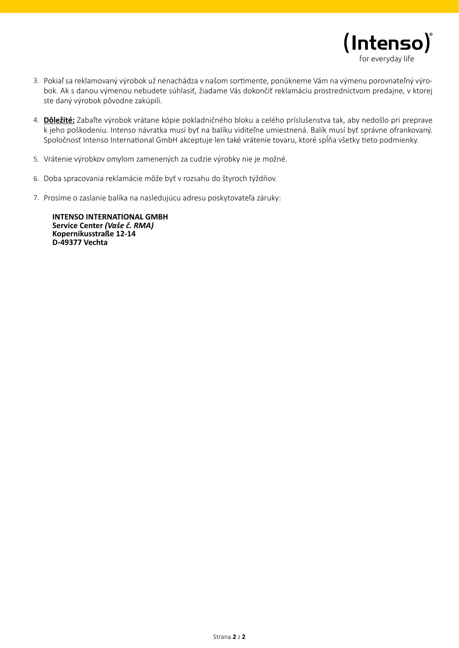

- 3. Pokiaľ sa reklamovaný výrobok už nenachádza v našom sortimente, ponúkneme Vám na výmenu porovnateľný výrobok. Ak s danou výmenou nebudete súhlasiť, žiadame Vás dokončiť reklamáciu prostredníctvom predajne, v ktorej ste daný výrobok pôvodne zakúpili.
- **Dôležité:** Zabaľte výrobok vrátane kópie pokladničného bloku a celého príslušenstva tak, aby nedošlo pri preprave 4. k jeho poškodeniu. Intenso návratka musí byť na balíku viditeľne umiestnená. Balík musí byť správne ofrankovaný. Spoločnosť Intenso International GmbH akceptuje len také vrátenie tovaru, ktoré spĺňa všetky tieto podmienky.
- 5. Vrátenie výrobkov omylom zamenených za cudzie výrobky nie je možné.
- 6. Doba spracovania reklamácie môže byť v rozsahu do štyroch týždňov.
- Prosíme o zaslanie balíka na nasledujúcu adresu poskytovateľa záruky: 7.

**INTENSO INTERNATIONAL GMBH Service Center** *(Vaše č. RMA)* **Kopernikusstraße 12-14 D-49377 Vechta**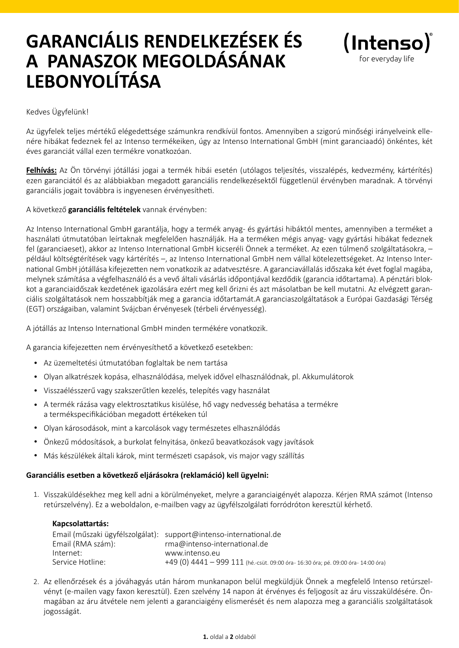## **GARANCIÁLIS RENDELKEZÉSEK ÉS A PANASZOK MEGOLDÁSÁNAK LEBONYOLÍTÁSA**



Kedves Ügyfelünk!

Az ügyfelek teljes mértékű elégedettsége számunkra rendkívül fontos. Amennyiben a szigorú minőségi irányelveink ellenére hibákat fedeznek fel az Intenso termékeiken, úgy az Intenso International GmbH (mint garanciaadó) önkéntes, két éves garanciát vállal ezen termékre vonatkozóan.

**Felhívás:** Az Ön törvényi jótállási jogai a termék hibái esetén (utólagos teljesítés, visszalépés, kedvezmény, kártérítés) ezen garanciától és az alábbiakban megadott garanciális rendelkezésektől függetlenül érvényben maradnak. A törvényi garanciális jogait továbbra is ingyenesen érvényesítheti.

#### A következő **garanciális feltételek** vannak érvényben:

Az Intenso International GmbH garantálja, hogy a termék anyag- és gyártási hibáktól mentes, amennyiben a terméket a használati útmutatóban leírtaknak megfelelően használják. Ha a terméken mégis anyag- vagy gyártási hibákat fedeznek fel (garanciaeset), akkor az Intenso International GmbH kicseréli Önnek a terméket. Az ezen túlmenő szolgáltatásokra, – például költségtérítések vagy kártérítés –, az Intenso International GmbH nem vállal kötelezettségeket. Az Intenso International GmbH jótállása kifejezetten nem vonatkozik az adatvesztésre. A garanciavállalás időszaka két évet foglal magába, melynek számítása a végfelhasználó és a vevő általi vásárlás időpontjával kezdődik (garancia időtartama). A pénztári blokkot a garanciaidőszak kezdetének igazolására ezért meg kell őrizni és azt másolatban be kell mutatni. Az elvégzett garanciális szolgáltatások nem hosszabbítják meg a garancia időtartamát.A garanciaszolgáltatások a Európai Gazdasági Térség (EGT) országaiban, valamint Svájcban érvényesek (térbeli érvényesség).

A jótállás az Intenso International GmbH minden termékére vonatkozik.

A garancia kifejezetten nem érvényesíthető a következő esetekben:

- Az üzemeltetési útmutatóban foglaltak be nem tartása •
- Olyan alkatrészek kopása, elhasználódása, melyek idővel elhasználódnak, pl. Akkumulátorok •
- Visszaélésszerű vagy szakszerűtlen kezelés, telepítés vagy használat •
- A termék rázása vagy elektrosztatikus kisülése, hő vagy nedvesség behatása a termékre a termékspecifikációban megadott értékeken túl
- Olyan károsodások, mint a karcolások vagy természetes elhasználódás •
- Önkezű módosítások, a burkolat felnyitása, önkezű beavatkozások vagy javítások •
- Más készülékek általi károk, mint természeti csapások, vis major vagy szállítás •

#### **Garanciális esetben a következő eljárásokra (reklamáció) kell ügyelni:**

1. Visszaküldésekhez meg kell adni a körülményeket, melyre a garanciaigényét alapozza. Kérjen RMA számot (Intenso retúrszelvény). Ez a weboldalon, e-mailben vagy az ügyfélszolgálati forródróton keresztül kérhető.

#### **Kapcsolattartás:**

| Email (RMA szám): | Email (műszaki ügyfélszolgálat): support@intenso-international.de<br>rma@intenso-international.de |
|-------------------|---------------------------------------------------------------------------------------------------|
| Internet:         | www.intenso.eu                                                                                    |
| Service Hotline:  | +49 (0) $4441 - 999 111$ (hé.-csüt. 09:00 óra- 16:30 óra; pé. 09:00 óra- 14:00 óra)               |

2. Az ellenőrzések és a jóváhagyás után három munkanapon belül megküldjük Önnek a megfelelő Intenso retúrszelvényt (e-mailen vagy faxon keresztül). Ezen szelvény 14 napon át érvényes és feljogosít az áru visszaküldésére. Önmagában az áru átvétele nem jelenti a garanciaigény elismerését és nem alapozza meg a garanciális szolgáltatások jogosságát.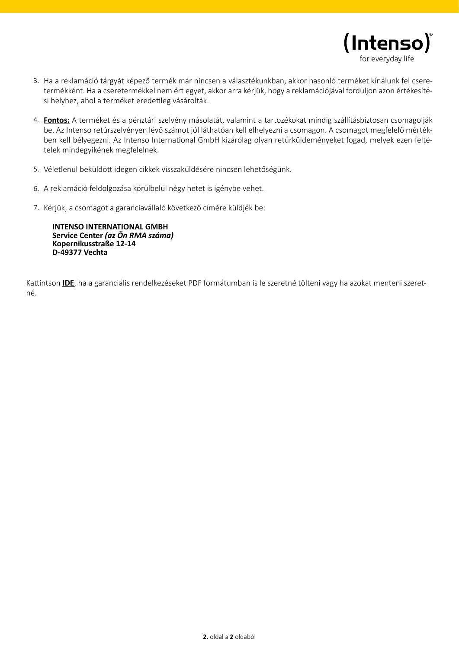

- 3. Ha a reklamáció tárgyát képező termék már nincsen a választékunkban, akkor hasonló terméket kínálunk fel cseretermékként. Ha a cseretermékkel nem ért egyet, akkor arra kérjük, hogy a reklamációjával forduljon azon értékesítési helyhez, ahol a terméket eredetileg vásárolták.
- **Fontos:** A terméket és a pénztári szelvény másolatát, valamint a tartozékokat mindig szállításbiztosan csomagolják 4. be. Az Intenso retúrszelvényen lévő számot jól láthatóan kell elhelyezni a csomagon. A csomagot megfelelő mértékben kell bélyegezni. Az Intenso International GmbH kizárólag olyan retúrküldeményeket fogad, melyek ezen feltételek mindegyikének megfelelnek.
- 5. Véletlenül beküldött idegen cikkek visszaküldésére nincsen lehetőségünk.
- 6. A reklamáció feldolgozása körülbelül négy hetet is igénybe vehet.
- 7. Kérjük, a csomagot a garanciavállaló következő címére küldjék be:

**INTENSO INTERNATIONAL GMBH Service Center** *(az Ön RMA száma)* **Kopernikusstraße 12-14 D-49377 Vechta**

Kattintson **IDE**, ha a garanciális rendelkezéseket PDF formátumban is le szeretné tölteni vagy ha azokat menteni szeretné.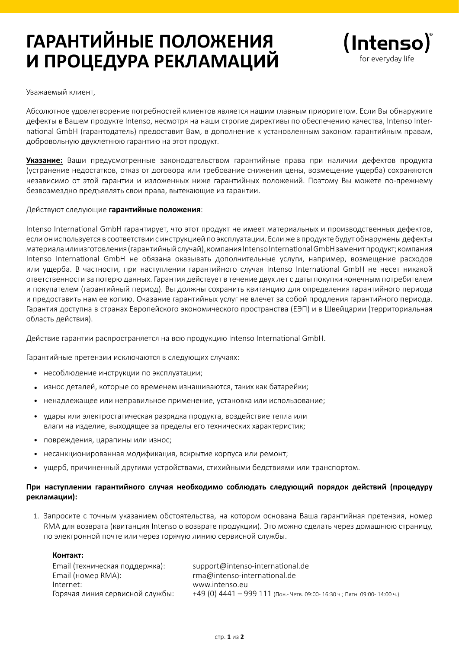# **ГАРАНТИЙНЫЕ ПОЛОЖЕНИЯ И ПРОЦЕДУРА РЕКЛАМАЦИЙ**



Уважаемый клиент,

Абсолютное удовлетворение потребностей клиентов является нашим главным приоритетом. Если Вы обнаружите дефекты в Вашем продукте Intenso, несмотря на наши строгие директивы по обеспечению качества, Intenso International GmbH (гарантодатель) предоставит Вам, в дополнение к установленным законом гарантийным правам, добровольную двухлетнюю гарантию на этот продукт.

**Указание:** Ваши предусмотренные законодательством гарантийные права при наличии дефектов продукта (устранение недостатков, отказ от договора или требование снижения цены, возмещение ущерба) сохраняются независимо от этой гарантии и изложенных ниже гарантийных положений. Поэтому Вы можете по-прежнему безвозмездно предъявлять свои права, вытекающие из гарантии.

#### Действуют следующие **гарантийные положения**:

Intenso International GmbH гарантирует, что этот продукт не имеет материальных и производственных дефектов, если он используется в соответствии с инструкцией по эксплуатации. Если же в продукте будут обнаружены дефекты материала или изготовления (гарантийный случай), компания Intenso International GmbH заменит продукт; компания Intenso International GmbH не обязана оказывать дополнительные услуги, например, возмещение расходов или ущерба. В частности, при наступлении гарантийного случая Intenso International GmbH не несет никакой ответственности за потерю данных. Гарантия действует в течение двух лет с даты покупки конечным потребителем и покупателем (гарантийный период). Вы должны сохранить квитанцию для определения гарантийного периода и предоставить нам ее копию. Оказание гарантийных услуг не влечет за собой продления гарантийного периода. Гарантия доступна в странах Европейского экономического пространства (ЕЭП) и в Швейцарии (территориальная область действия).

Действие гарантии распространяется на всю продукцию Intenso International GmbH.

Гарантийные претензии исключаются в следующих случаях:

- несоблюдение инструкции по эксплуатации; •
- износ деталей, которые со временем изнашиваются, таких как батарейки; •
- ненадлежащее или неправильное применение, установка или использование; •
- удары или электростатическая разрядка продукта, воздействие тепла или влаги на изделие, выходящее за пределы его технических характеристик; •
- повреждения, царапины или износ; •
- несанкционированная модификация, вскрытие корпуса или ремонт; •
- ущерб, причиненный другими устройствами, стихийными бедствиями или транспортом. •

#### **При наступлении гарантийного случая необходимо соблюдать следующий порядок действий (процедуру рекламации):**

1. Запросите с точным указанием обстоятельства, на котором основана Ваша гарантийная претензия, номер RMA для возврата (квитанция Intenso о возврате продукции). Это можно сделать через домашнюю страницу, по электронной почте или через горячую линию сервисной службы.

#### **Контакт:**

| Email (техническая поддержка):  | support@intenso-international.de                                                |
|---------------------------------|---------------------------------------------------------------------------------|
| Email (номер RMA):              | rma@intenso-international.de                                                    |
| Internet:                       | www.intenso.eu                                                                  |
| Горячая линия сервисной службы: | $+49$ (0) $4441 - 999$ 111 (Пон.- Четв. 09:00- 16:30 ч.; Пятн. 09:00- 14:00 ч.) |